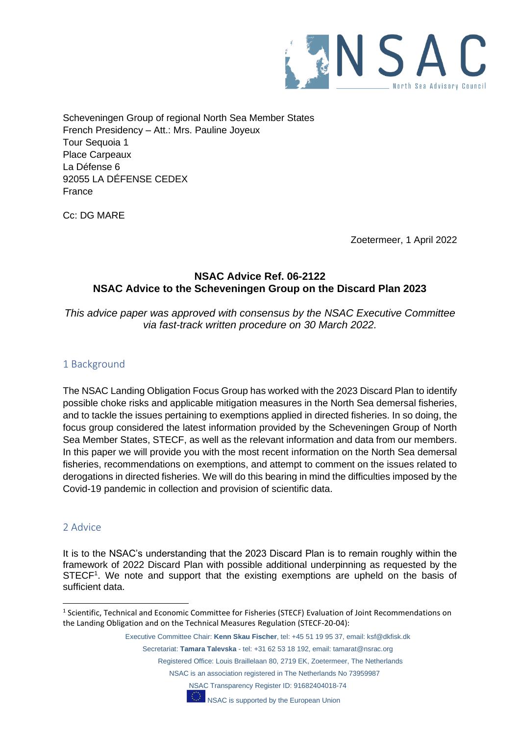

Scheveningen Group of regional North Sea Member States French Presidency – Att.: Mrs. Pauline Joyeux Tour Sequoia 1 Place Carpeaux La Défense 6 92055 LA DÉFENSE CEDEX France

Cc: DG MARE

Zoetermeer, 1 April 2022

## **NSAC Advice Ref. 06-2122 NSAC Advice to the Scheveningen Group on the Discard Plan 2023**

*This advice paper was approved with consensus by the NSAC Executive Committee via fast-track written procedure on 30 March 2022.*

## 1 Background

The NSAC Landing Obligation Focus Group has worked with the 2023 Discard Plan to identify possible choke risks and applicable mitigation measures in the North Sea demersal fisheries, and to tackle the issues pertaining to exemptions applied in directed fisheries. In so doing, the focus group considered the latest information provided by the Scheveningen Group of North Sea Member States, STECF, as well as the relevant information and data from our members. In this paper we will provide you with the most recent information on the North Sea demersal fisheries, recommendations on exemptions, and attempt to comment on the issues related to derogations in directed fisheries. We will do this bearing in mind the difficulties imposed by the Covid-19 pandemic in collection and provision of scientific data.

## 2 Advice

It is to the NSAC's understanding that the 2023 Discard Plan is to remain roughly within the framework of 2022 Discard Plan with possible additional underpinning as requested by the STECF<sup>1</sup>. We note and support that the existing exemptions are upheld on the basis of sufficient data.

NSAC Transparency Register ID: 91682404018-74



<sup>&</sup>lt;sup>1</sup> Scientific, Technical and Economic Committee for Fisheries (STECF) Evaluation of Joint Recommendations on the Landing Obligation and on the Technical Measures Regulation (STECF-20-04):

Executive Committee Chair: **Kenn Skau Fischer**, tel: +45 51 19 95 37, email: ksf@dkfisk.dk

Secretariat: **Tamara Talevska** - tel: +31 62 53 18 192, email: tamarat@nsrac.org

Registered Office: Louis Braillelaan 80, 2719 EK, Zoetermeer, The Netherlands

NSAC is an association registered in The Netherlands No 73959987